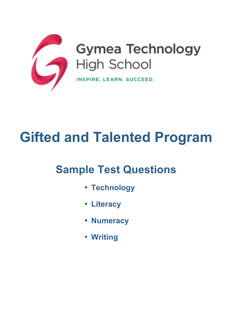

# **Gifted and Talented Program**

## **Sample Test Questions**

- **Technology**
- **Literacy**
- **Numeracy**
- **Writing**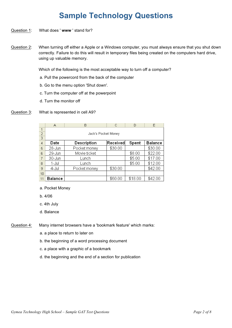## **Sample Technology Questions**

#### Question 1: What does ' **www** ' stand for?

Question 2: When turning off either a Apple or a Windows computer, you must always ensure that you shut down correctly. Failure to do this will result in temporary files being created on the computers hard drive, using up valuable memory.

Which of the following is the most acceptable way to turn off a computer?

- a. Pull the powercord from the back of the computer
- b. Go to the menu option 'Shut down'.
- c. Turn the computer off at the powerpoint
- d. Turn the monitor off

#### Question 3: What is represented in cell A9?

|                | А                   | B            | Ĉ        | D       | E       |  |
|----------------|---------------------|--------------|----------|---------|---------|--|
| 1              |                     |              |          |         |         |  |
| $\frac{2}{3}$  | Jack's Pocket Money |              |          |         |         |  |
|                |                     |              |          |         |         |  |
| $\overline{4}$ | Date                | Description  | Received | Spent   | Balance |  |
| 5              | 28-Jun              | Pocket money | \$30.00  |         | \$30.00 |  |
| 6              | 29-Jun              | Movie ticket |          | \$8.00  | \$22.00 |  |
|                | 30-Jun              | Lunch        |          | \$5.00  | \$17.00 |  |
| 8              | 1-Jul               | Lunch        |          | \$5.00  | \$12.00 |  |
| 9              | 4-Jul               | Pocket money | \$30.00  |         | \$42.00 |  |
| 10             |                     |              |          |         |         |  |
| 11             | Balance             |              | \$60.00  | \$18.00 | \$42.00 |  |

- a. Pocket Money
- b. 4/06
- c. 4th July
- d. Balance

Question 4: Many internet browsers have a 'bookmark feature' which marks:

- a. a place to return to later on
- b. the beginning of a word processing document
- c. a place with a graphic of a bookmark
- d. the beginning and the end of a section for publication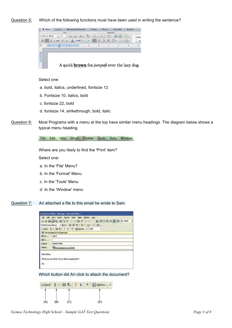#### Question 5: Which of the following functions must have been used in writing the sentence?



Select one:

- a. bold, italics, underlined, fontsize 12
- b. Fontsize 10, italics, bold
- c. fontsize 22, bold
- d. fontsize 14, strikethrough, bold, italic
- Question 6: Most Programs with a menu at the top have similar menu headings. The diagram below shows a typical menu heading.

File Edit View Insert Format Tools Data Window

Where are you likely to find the 'Print' item?

Select one:

- a. In the 'File' Menu?
- b. In the 'Format' Menu
- c. In the 'Tools' Menu
- d. In the 'Window' menu
- Question 7: Ari attached a file to this email he wrote to Sam.

|                                               | Science Week - Message - Microsoft Word                                                                                                                                                      |
|-----------------------------------------------|----------------------------------------------------------------------------------------------------------------------------------------------------------------------------------------------|
|                                               | File Edit View Insert Format Tools<br>Table Window Help<br>Final Showing Markup · Show · 公 ② 公 · 公 · 仁 · 国<br><b>□Send ( → 图 克   ↓ ▼ 出 Options → HTML</b><br>This message has not been sent. |
| <b>BB</b> To<br>BB <sub>Cc.</sub><br>Subject: | Sam T<br><b>Science Week</b>                                                                                                                                                                 |
| Attach                                        | <sup>图</sup> ] My Experiment.doc (23 KB)                                                                                                                                                     |
| Dear Sam,<br>Ari                              | What do you think of my latest experiment?                                                                                                                                                   |

Which button did Ari click to attach the document?

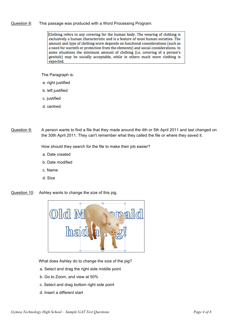#### Question 8: This passage was produced with a Word Processing Program:

Clothing refers to any covering for the human body. The wearing of clothing is exclusively a human characteristic and is a feature of most human societies. The amount and type of clothing worn depends on functional considerations (such as a need for warmth or protection from the elements) and social considerations. In some situations the minimum amount of clothing (i.e. covering of a person's genitals) may be socially acceptable, while in others much more clothing is expected.

The Paragraph is:

- a. right justified
- b. left justified
- c. justified
- d. centred
- Question 9: A person wants to find a file that they made around the 4th or 5th April 2011 and last changed on the 30th April 2011. They can't remember what they called the file or where they saved it.

How should they search for the file to make their job easier?

- a. Date created
- b. Date modified
- c. Name
- d. Size

Question 10: Ashley wants to change the size of this pig.



What does Ashley do to change the size of the pig?

- a. Select and drag the right side middle point
- b. Go to Zoom, and view at 50%
- c. Select and drag bottom right side point
- d. Insert a different start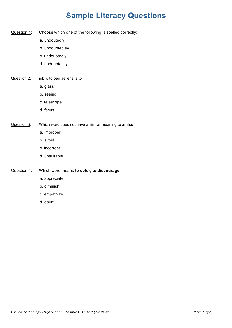## **Sample Literacy Questions**

- Question 1: Choose which one of the following is spelled correctly:
	- a. undoutedly
	- b. undoubtedley
	- c. undoubtedly
	- d. undoubtedlly
- Question 2: nib is to pen as lens is to
	- a. glass
	- b. seeing
	- c. telescope
	- d. focus
- Question 3: Which word does not have a similar meaning to **amiss**
	- a. improper
	- b. avoid
	- c. incorrect
	- d. unsuitable

Question 4: Which word means **to deter; to discourage**

- a. appreciate
- b. diminish
- c. empathize
- d. daunt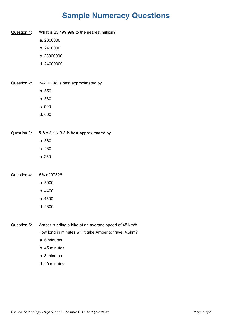## **Sample Numeracy Questions**

Question 1: What is 23,499,999 to the nearest million? a. 2300000 b. 2400000 c. 23000000 d. 24000000 Question 2: 347 + 198 is best approximated by a. 550 b. 580 c. 590 d. 600 Question 3: 5.8 x 6.1 x 9.8 is best approximated by a. 560 b. 480 c. 250 Question 4: 5% of 97326 a. 5000 b. 4400 c. 4500 d. 4800 Question 5: Amber is riding a bike at an average speed of 45 km/h. How long in minutes will it take Amber to travel 4.5km? a. 6 minutes b. 45 minutes c. 3 minutes d. 10 minutes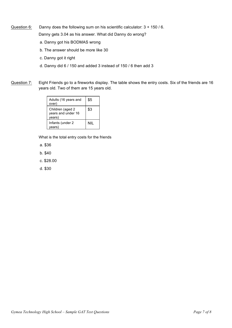Question 6: Danny does the following sum on his scientific calculator: 3 + 150 / 6.

Danny gets 3.04 as his answer. What did Danny do wrong?

- a. Danny got his BODMAS wrong
- b. The answer should be more like 30
- c. Danny got it right
- d. Danny did 6 / 150 and added 3 instead of 150 / 6 then add 3
- Question 7: Eight Friends go to a fireworks display. The table shows the entry costs. Six of the friends are 16 years old. Two of them are 15 years old.

| Adults (16 years and<br>over)                     | \$5 |  |
|---------------------------------------------------|-----|--|
| Children (aged 2)<br>years and under 16<br>years) | \$3 |  |
| Infants (under 2<br>vears)                        | NII |  |

What is the total entry costs for the friends

- a. \$36
- b. \$40
- c. \$28.00
- d. \$30